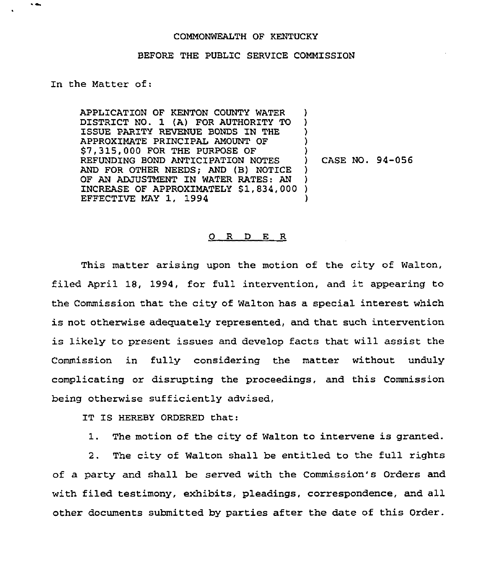## COMMONWEALTH OF KENTUCKY

## BEFORE THE PUBLIC SERVICE COMMISSION

## In the Matter of:

 $\ddot{\phantom{1}}$ 

APPLICATION OF KENTON COUNTY WATER DISTRICT NO. 1 (A) FOR AUTHORITY TO ISSUE PARITY REVENUE BONDS IN THE APPROXIMATE PRINCIPAL AMOUNT OF \$7,315,000 FOR THE PURPOSE OF REFUNDING BOND ANTICIPATION NOTES AND FOR OTHER NEEDS; AND (B) NOTICE OF AN ADJUSTMENT IN WATER RATES: AN INCREASE OF APPROXIMATELY \$1,834,000 EFFECTIVE MAY 1, 1994 ) ) ) ) ) ) ) ) )

) CASE NO. 94-056

## O R D E R

This matter arising upon the motion of the city of Walton, filed April 18, 1994, for full intervention, and it appearing to the Commission that the city of Walton has a special interest which is not otherwise adequately represented, and that such intervention is likely to present issues and develop facts that will assist the Commission in fully considering the matter without unduly complicating or disrupting the proceedings, and this Commission being otherwise sufficiently advised,

IT IS HEREBY ORDERED that:

1. The motion of the city of Walton to intervene is granted.

2. The city of Walton shall be entitled to the full rights of a party and shall be served with the Commission's Orders and with filed testimony, exhibits, pleadings, correspondence, and all other documents submitted by parties after the date of this Order.